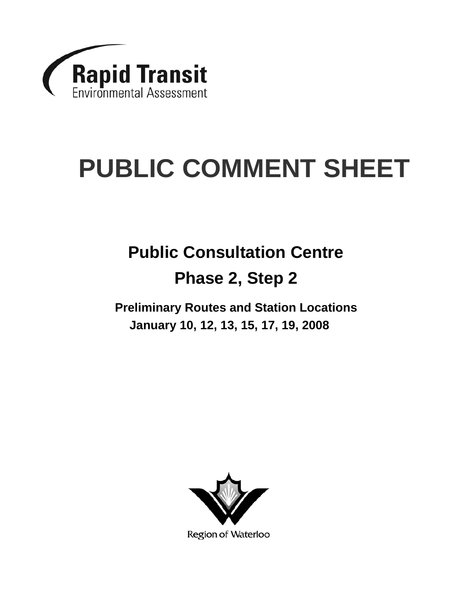

# **PUBLIC COMMENT SHEET**

# **Public Consultation Centre Phase 2, Step 2**

**Preliminary Routes and Station Locations January 10, 12, 13, 15, 17, 19, 2008**



Region of Waterloo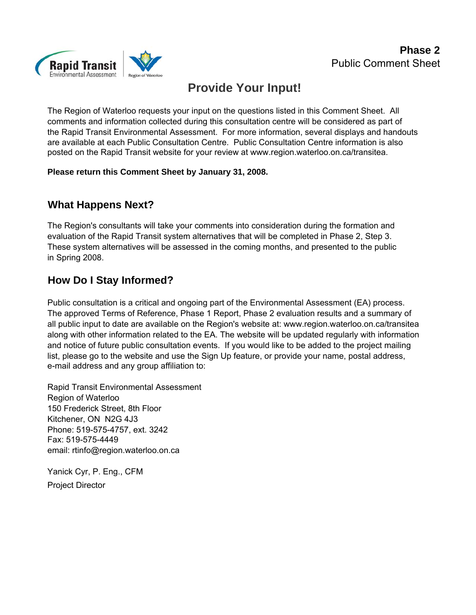

# **Provide Your Input!**

The Region of Waterloo requests your input on the questions listed in this Comment Sheet. All comments and information collected during this consultation centre will be considered as part of the Rapid Transit Environmental Assessment. For more information, several displays and handouts are available at each Public Consultation Centre. Public Consultation Centre information is also posted on the Rapid Transit website for your review at www.region.waterloo.on.ca/transitea.

#### **Please return this Comment Sheet by January 31, 2008.**

### **What Happens Next?**

The Region's consultants will take your comments into consideration during the formation and evaluation of the Rapid Transit system alternatives that will be completed in Phase 2, Step 3. These system alternatives will be assessed in the coming months, and presented to the public in Spring 2008.

### **How Do I Stay Informed?**

Public consultation is a critical and ongoing part of the Environmental Assessment (EA) process. The approved Terms of Reference, Phase 1 Report, Phase 2 evaluation results and a summary of all public input to date are available on the Region's website at: www.region.waterloo.on.ca/transitea along with other information related to the EA. The website will be updated regularly with information and notice of future public consultation events. If you would like to be added to the project mailing list, please go to the website and use the Sign Up feature, or provide your name, postal address, e-mail address and any group affiliation to:

Rapid Transit Environmental Assessment Region of Waterloo 150 Frederick Street, 8th Floor Kitchener, ON N2G 4J3 Phone: 519-575-4757, ext. 3242 Fax: 519-575-4449 email: rtinfo@region.waterloo.on.ca

Yanick Cyr, P. Eng., CFM Project Director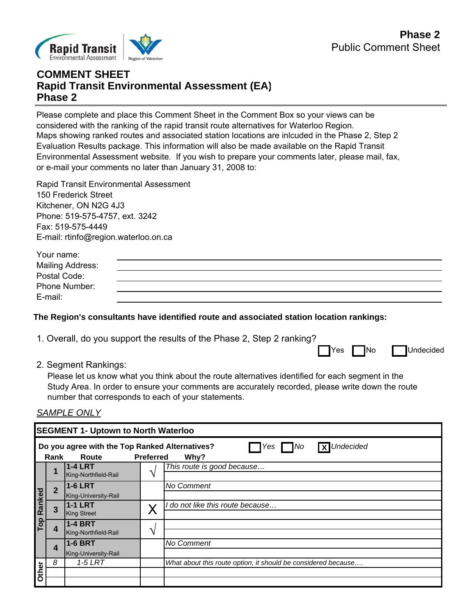

#### **COMMENT SHEET Rapid Transit Environmental Assessment (EA) Phase 2**

Please complete and place this Comment Sheet in the Comment Box so your views can be considered with the ranking of the rapid transit route alternatives for Waterloo Region. Maps showing ranked routes and associated station locations are inlcuded in the Phase 2, Step 2 Evaluation Results package. This information will also be made available on the Rapid Transit Environmental Assessment website. If you wish to prepare your comments later, please mail, fax, or e-mail your comments no later than January 31, 2008 to:

Rapid Transit Environmental Assessment 150 Frederick Street Kitchener, ON N2G 4J3 Phone: 519-575-4757, ext. 3242 Fax: 519-575-4449 E-mail: rtinfo@region.waterloo.on.ca

| Your name:              |  |  |
|-------------------------|--|--|
| <b>Mailing Address:</b> |  |  |
| Postal Code:            |  |  |
| Phone Number:           |  |  |
| E-mail:                 |  |  |
|                         |  |  |

#### **The Region's consultants have identified route and associated station location rankings:**

1. Overall, do you support the results of the Phase 2, Step 2 ranking?

Yes No Undecided

2. Segment Rankings:

Please let us know what you think about the route alternatives identified for each segment in the Study Area. In order to ensure your comments are accurately recorded, please write down the route number that corresponds to each of your statements.

#### *SAMPLE ONLY*

|                                        | <b>SEGMENT 1- Uptown to North Waterloo</b>                                                                                                      |                                        |                    |                                                               |  |  |  |
|----------------------------------------|-------------------------------------------------------------------------------------------------------------------------------------------------|----------------------------------------|--------------------|---------------------------------------------------------------|--|--|--|
|                                        | <b>Undecided</b><br>$Yes$ $No$<br>Do you agree with the Top Ranked Alternatives?<br>$\overline{X}$<br><b>Preferred</b><br>Rank<br>Route<br>Why? |                                        |                    |                                                               |  |  |  |
|                                        |                                                                                                                                                 | <b>1-4 LRT</b><br>King-Northfield-Rail | $\mathbf{\hat{v}}$ | This route is good because                                    |  |  |  |
|                                        | $\overline{2}$                                                                                                                                  | <b>1-6 LRT</b><br>King-University-Rail |                    | No Comment                                                    |  |  |  |
| Top Ranked                             | 3                                                                                                                                               | <b>1-1 LRT</b><br><b>King Street</b>   | Х                  | do not like this route because                                |  |  |  |
|                                        | 4                                                                                                                                               | <b>1-4 BRT</b><br>King-Northfield-Rail | $\mathbf{v}$       |                                                               |  |  |  |
|                                        | $\boldsymbol{4}$                                                                                                                                | <b>1-6 BRT</b>                         |                    | No Comment                                                    |  |  |  |
| King-University-Rail<br>8<br>$1-5 LRT$ |                                                                                                                                                 |                                        |                    | What about this route option, it should be considered because |  |  |  |
| Other                                  |                                                                                                                                                 |                                        |                    |                                                               |  |  |  |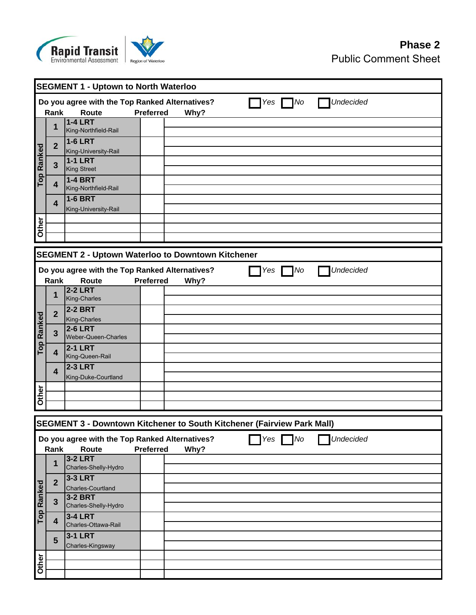

|                   |                | <b>SEGMENT 1 - Uptown to North Waterloo</b>             |                  |                                                                        |                      |                  |
|-------------------|----------------|---------------------------------------------------------|------------------|------------------------------------------------------------------------|----------------------|------------------|
|                   | Rank           | Do you agree with the Top Ranked Alternatives?<br>Route | <b>Preferred</b> | Why?                                                                   | Yes No Undecided     |                  |
|                   | 1              | <b>1-4 LRT</b>                                          |                  |                                                                        |                      |                  |
|                   |                | King-Northfield-Rail                                    |                  |                                                                        |                      |                  |
|                   | $\overline{2}$ | <b>1-6 LRT</b>                                          |                  |                                                                        |                      |                  |
| <b>Top Ranked</b> |                | King-University-Rail                                    |                  |                                                                        |                      |                  |
|                   | $\mathbf{3}$   | <b>1-1 LRT</b><br><b>King Street</b>                    |                  |                                                                        |                      |                  |
|                   |                | <b>1-4 BRT</b>                                          |                  |                                                                        |                      |                  |
|                   | 4              | King-Northfield-Rail                                    |                  |                                                                        |                      |                  |
|                   |                | <b>1-6 BRT</b>                                          |                  |                                                                        |                      |                  |
|                   | 4              | King-University-Rail                                    |                  |                                                                        |                      |                  |
|                   |                |                                                         |                  |                                                                        |                      |                  |
|                   |                |                                                         |                  |                                                                        |                      |                  |
| Other             |                |                                                         |                  |                                                                        |                      |                  |
|                   |                |                                                         |                  |                                                                        |                      |                  |
|                   |                |                                                         |                  | <b>SEGMENT 2 - Uptown Waterloo to Downtown Kitchener</b>               |                      |                  |
|                   | Rank           | Do you agree with the Top Ranked Alternatives?<br>Route | <b>Preferred</b> |                                                                        | $\Box$ Yes $\Box$ No | <b>Undecided</b> |
|                   |                | <b>2-2 LRT</b>                                          |                  | Why?                                                                   |                      |                  |
|                   | 1              | King-Charles                                            |                  |                                                                        |                      |                  |
|                   |                | <b>2-2 BRT</b>                                          |                  |                                                                        |                      |                  |
|                   | $\overline{2}$ | King-Charles                                            |                  |                                                                        |                      |                  |
|                   |                | <b>2-6 LRT</b>                                          |                  |                                                                        |                      |                  |
|                   | $\mathbf{3}$   | Weber-Queen-Charles                                     |                  |                                                                        |                      |                  |
| <b>Top Ranked</b> |                | <b>2-1 LRT</b>                                          |                  |                                                                        |                      |                  |
|                   | 4              | King-Queen-Rail                                         |                  |                                                                        |                      |                  |
|                   | 4              | <b>2-3 LRT</b>                                          |                  |                                                                        |                      |                  |
|                   |                | King-Duke-Courtland                                     |                  |                                                                        |                      |                  |
|                   |                |                                                         |                  |                                                                        |                      |                  |
| Other             |                |                                                         |                  |                                                                        |                      |                  |
|                   |                |                                                         |                  |                                                                        |                      |                  |
|                   |                |                                                         |                  | SEGMENT 3 - Downtown Kitchener to South Kitchener (Fairview Park Mall) |                      |                  |
|                   |                |                                                         |                  |                                                                        |                      |                  |
|                   | Rank           | Do you agree with the Top Ranked Alternatives?<br>Route | <b>Preferred</b> |                                                                        | Yes No Undecided     |                  |
|                   |                | <b>3-2 LRT</b>                                          |                  | Why?                                                                   |                      |                  |
|                   | 1              | Charles-Shelly-Hydro                                    |                  |                                                                        |                      |                  |
|                   |                | <b>3-3 LRT</b>                                          |                  |                                                                        |                      |                  |
|                   | $\overline{2}$ | Charles-Courtland                                       |                  |                                                                        |                      |                  |
|                   |                | <b>3-2 BRT</b>                                          |                  |                                                                        |                      |                  |
|                   | $\mathbf{3}$   | Charles-Shelly-Hydro                                    |                  |                                                                        |                      |                  |
| <b>Top Ranked</b> |                | <b>3-4 LRT</b>                                          |                  |                                                                        |                      |                  |
|                   | 4              | Charles-Ottawa-Rail                                     |                  |                                                                        |                      |                  |
|                   |                | <b>3-1 LRT</b>                                          |                  |                                                                        |                      |                  |
|                   | 5              | Charles-Kingsway                                        |                  |                                                                        |                      |                  |
| Other             |                |                                                         |                  |                                                                        |                      |                  |
|                   |                |                                                         |                  |                                                                        |                      |                  |
|                   |                |                                                         |                  |                                                                        |                      |                  |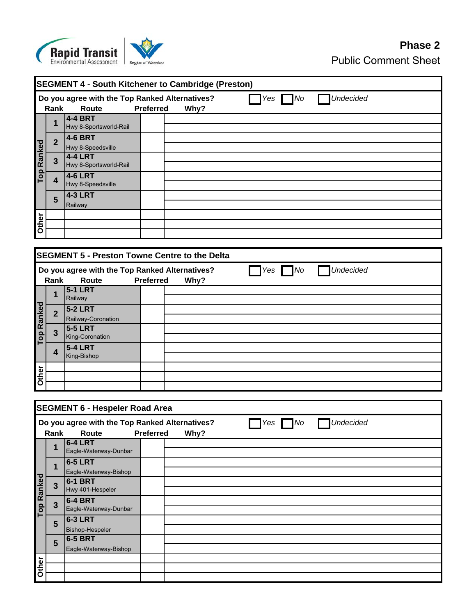

## **Phase 2** Public Comment Sheet

|                   | <b>SEGMENT 4 - South Kitchener to Cambridge (Preston)</b>                                                       |                                          |  |  |  |  |  |  |
|-------------------|-----------------------------------------------------------------------------------------------------------------|------------------------------------------|--|--|--|--|--|--|
|                   | Yes No Undecided<br>Do you agree with the Top Ranked Alternatives?<br>Rank<br><b>Preferred</b><br>Why?<br>Route |                                          |  |  |  |  |  |  |
|                   |                                                                                                                 | <b>4-4 BRT</b><br>Hwy 8-Sportsworld-Rail |  |  |  |  |  |  |
|                   | $\overline{2}$                                                                                                  | 4-6 BRT<br>Hwy 8-Speedsville             |  |  |  |  |  |  |
| <b>Top Ranked</b> | $\overline{3}$                                                                                                  | <b>4-4 LRT</b><br>Hwy 8-Sportsworld-Rail |  |  |  |  |  |  |
|                   | 4                                                                                                               | 4-6 LRT<br>Hwy 8-Speedsville             |  |  |  |  |  |  |
|                   | 5                                                                                                               | 4-3 LRT<br>Railway                       |  |  |  |  |  |  |
| Other             |                                                                                                                 |                                          |  |  |  |  |  |  |
|                   |                                                                                                                 |                                          |  |  |  |  |  |  |
|                   | <b>SEGMENT 5 - Preston Towne Centre to the Delta</b>                                                            |                                          |  |  |  |  |  |  |

|                   | Rank           | Do you agree with the Top Ranked Alternatives?<br>Route | <b>Preferred</b> | $\Box$ Yes $\Box$ No<br><b>Undecided</b><br>Why? |
|-------------------|----------------|---------------------------------------------------------|------------------|--------------------------------------------------|
|                   |                | $5-1$ LRT<br>Railway                                    |                  |                                                  |
| <b>Top Ranked</b> | $\overline{2}$ | $5-2$ LRT<br>Railway-Coronation                         |                  |                                                  |
|                   | 3              | 5-5 LRT<br>King-Coronation                              |                  |                                                  |
|                   | 4              | <b>5-4 LRT</b><br>King-Bishop                           |                  |                                                  |
|                   |                |                                                         |                  |                                                  |
| Other             |                |                                                         |                  |                                                  |
|                   |                |                                                         |                  |                                                  |

|            |                         | $5-2$ LRT                                      |                  |                               |
|------------|-------------------------|------------------------------------------------|------------------|-------------------------------|
| Top Ranked | $\overline{2}$          | Railway-Coronation                             |                  |                               |
|            |                         | <b>5-5 LRT</b>                                 |                  |                               |
|            | $\overline{\mathbf{3}}$ |                                                |                  |                               |
|            |                         | King-Coronation                                |                  |                               |
|            | $\overline{\mathbf{4}}$ | <b>5-4 LRT</b>                                 |                  |                               |
|            |                         | King-Bishop                                    |                  |                               |
|            |                         |                                                |                  |                               |
| Other      |                         |                                                |                  |                               |
|            |                         |                                                |                  |                               |
|            |                         |                                                |                  |                               |
|            |                         |                                                |                  |                               |
|            |                         | <b>SEGMENT 6 - Hespeler Road Area</b>          |                  |                               |
|            |                         | Do you agree with the Top Ranked Alternatives? |                  | <b>Undecided</b><br>$Yes \tN$ |
|            | Rank                    | Route                                          | <b>Preferred</b> |                               |
|            |                         |                                                |                  | Why?                          |
|            |                         |                                                |                  |                               |
|            | 1                       | <b>6-4 LRT</b>                                 |                  |                               |
|            |                         | Eagle-Waterway-Dunbar                          |                  |                               |
|            |                         | <b>6-5 LRT</b>                                 |                  |                               |
|            | $\mathbf 1$             | Eagle-Waterway-Bishop                          |                  |                               |
|            |                         | <b>6-1 BRT</b>                                 |                  |                               |
|            | $\overline{\mathbf{3}}$ | Hwy 401-Hespeler                               |                  |                               |
|            |                         |                                                |                  |                               |
|            | $\overline{3}$          | <b>6-4 BRT</b>                                 |                  |                               |
|            |                         | Eagle-Waterway-Dunbar                          |                  |                               |
| Top Ranked | 5                       | <b>6-3 LRT</b>                                 |                  |                               |
|            |                         | <b>Bishop-Hespeler</b>                         |                  |                               |
|            | 5                       | <b>6-5 BRT</b>                                 |                  |                               |
|            |                         | Eagle-Waterway-Bishop                          |                  |                               |
|            |                         |                                                |                  |                               |
| Other      |                         |                                                |                  |                               |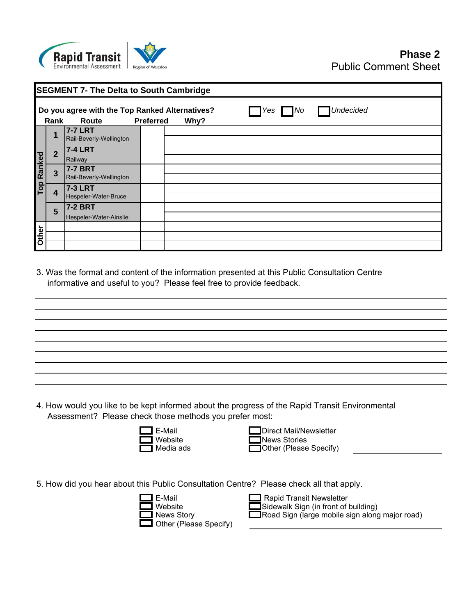

|            | <b>SEGMENT 7- The Delta to South Cambridge</b>                                                                                                |                                           |  |  |  |  |  |  |
|------------|-----------------------------------------------------------------------------------------------------------------------------------------------|-------------------------------------------|--|--|--|--|--|--|
|            | <b>Undecided</b><br>Do you agree with the Top Ranked Alternatives?<br>$\bigcap$ Yes $\bigcap$ No<br><b>Preferred</b><br>Why?<br>Rank<br>Route |                                           |  |  |  |  |  |  |
|            |                                                                                                                                               | <b>7-7 LRT</b><br>Rail-Beverly-Wellington |  |  |  |  |  |  |
|            | $\overline{2}$                                                                                                                                | <b>7-4 LRT</b><br>Railway                 |  |  |  |  |  |  |
| Top Ranked | $\overline{3}$                                                                                                                                | <b>7-7 BRT</b><br>Rail-Beverly-Wellington |  |  |  |  |  |  |
|            | 4                                                                                                                                             | <b>7-3 LRT</b><br>Hespeler-Water-Bruce    |  |  |  |  |  |  |
|            | 5                                                                                                                                             | <b>7-2 BRT</b><br>Hespeler-Water-Ainslie  |  |  |  |  |  |  |
|            |                                                                                                                                               |                                           |  |  |  |  |  |  |
| Other      |                                                                                                                                               |                                           |  |  |  |  |  |  |
|            |                                                                                                                                               |                                           |  |  |  |  |  |  |

3. Was the format and content of the information presented at this Public Consultation Centre informative and useful to you? Please feel free to provide feedback.

4. How would you like to be kept informed about the progress of the Rapid Transit Environmental Assessment? Please check those methods you prefer most:



Direct Mail/Newsletter **News Stories** L

Media ads **Other (Please Specify)** 

5. How did you hear about this Public Consultation Centre? Please check all that apply.



Road Sign (large mobile sign along major road) Sidewalk Sign (in front of building) Rapid Transit Newsletter